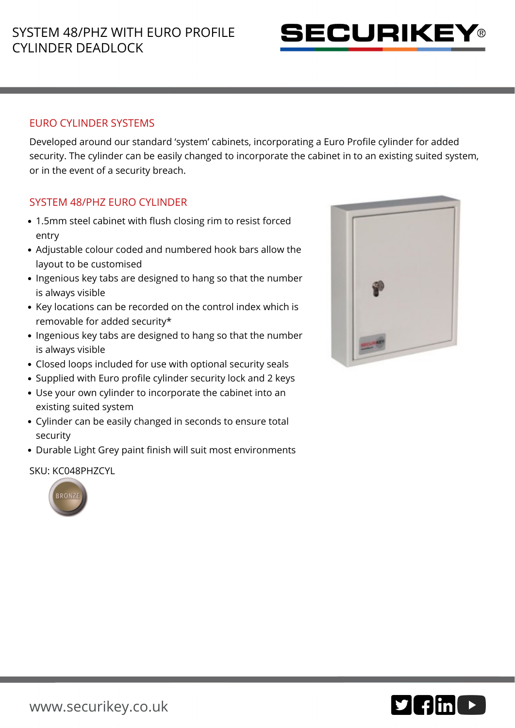

### EURO CYLINDER SYSTEMS

Developed around our standard 'system' cabinets, incorporating a Euro Profile cylinder for added security. The cylinder can be easily changed to incorporate the cabinet in to an existing suited system, or in the event of a security breach.

# SYSTEM 48/PHZ EURO CYLINDER

- 1.5mm steel cabinet with flush closing rim to resist forced entry
- Adjustable colour coded and numbered hook bars allow the layout to be customised
- Ingenious key tabs are designed to hang so that the number is always visible
- Key locations can be recorded on the control index which is removable for added security\*
- Ingenious key tabs are designed to hang so that the number is always visible
- Closed loops included for use with optional security seals
- Supplied with Euro profile cylinder security lock and 2 keys
- Use your own cylinder to incorporate the cabinet into an existing suited system
- Cylinder can be easily changed in seconds to ensure total security
- Durable Light Grey paint finish will suit most environments

#### SKU: KC048PHZCYL





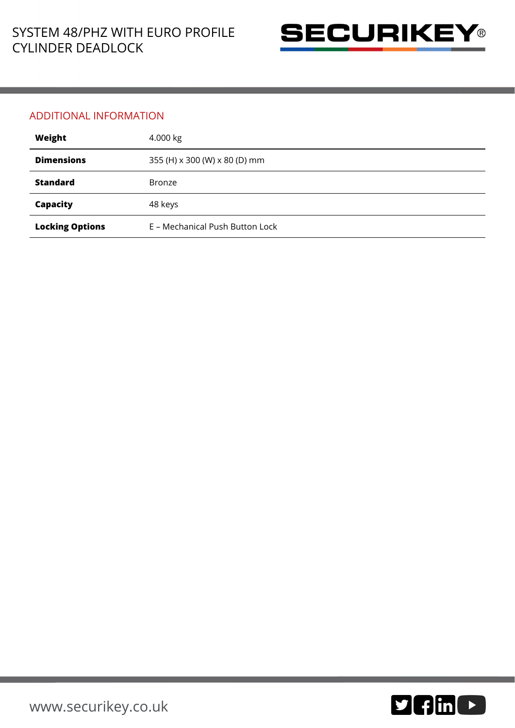

#### ADDITIONAL INFORMATION

| Weight                 | 4.000 kg                        |
|------------------------|---------------------------------|
| <b>Dimensions</b>      | 355 (H) x 300 (W) x 80 (D) mm   |
| <b>Standard</b>        | <b>Bronze</b>                   |
| Capacity               | 48 keys                         |
| <b>Locking Options</b> | E - Mechanical Push Button Lock |

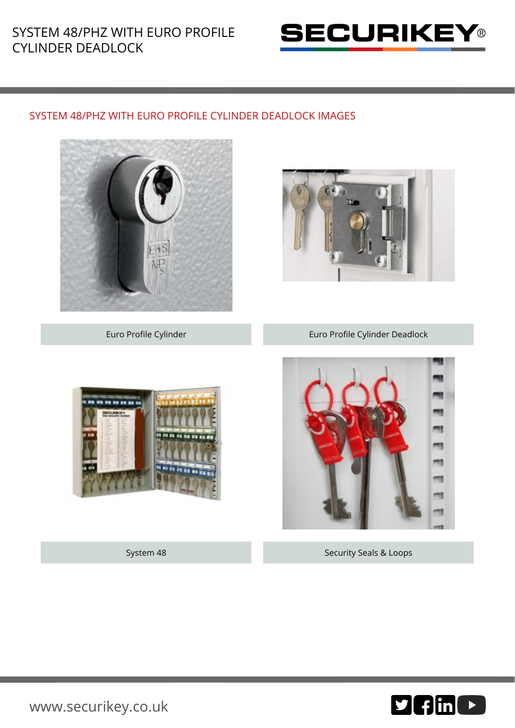# SYSTEM 48/PHZ WITH EURO PROFILE CYLINDER DEADLOCK



## SYSTEM 48/PHZ WITH EURO PROFILE CYLINDER DEADLOCK IMAGES









System 48 Security Seals & Loops



[www.securikey.co.uk](http://www.securikey.co.uk/)